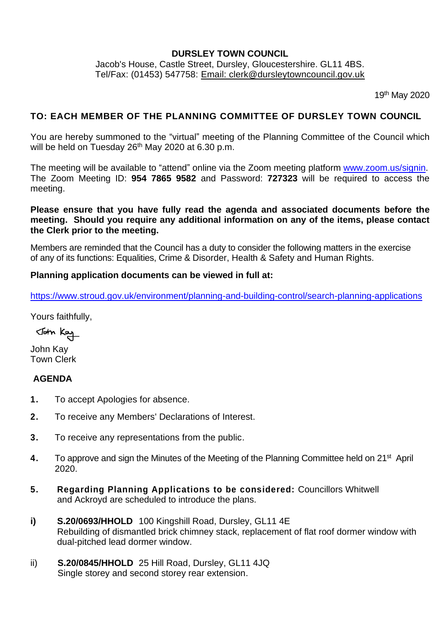### **DURSLEY TOWN COUNCIL**

Jacob's House, Castle Street, Dursley, Gloucestershire. GL11 4BS. Tel/Fax: (01453) 547758: [Email: clerk@dursleytowncouncil.gov.uk](mailto:clerk@dursleytowncouncil.gov.uk)

19<sup>th</sup> May 2020

#### **TO: EACH MEMBER OF THE PLANNING COMMITTEE OF DURSLEY TOWN COUNCIL**

You are hereby summoned to the "virtual" meeting of the Planning Committee of the Council which will be held on Tuesday 26<sup>th</sup> May 2020 at 6.30 p.m.

The meeting will be available to "attend" online via the Zoom meeting platform [www.zoom.us/signin.](http://www.zoom.us/signin) The Zoom Meeting ID: **954 7865 9582** and Password: **727323** will be required to access the meeting.

### **Please ensure that you have fully read the agenda and associated documents before the meeting. Should you require any additional information on any of the items, please contact the Clerk prior to the meeting.**

Members are reminded that the Council has a duty to consider the following matters in the exercise of any of its functions: Equalities, Crime & Disorder, Health & Safety and Human Rights.

#### **Planning application documents can be viewed in full at:**

<https://www.stroud.gov.uk/environment/planning-and-building-control/search-planning-applications>

Yours faithfully,

John Kay

John Kay Town Clerk

### **AGENDA**

- **1.** To accept Apologies for absence.
- **2.** To receive any Members' Declarations of Interest.
- **3.** To receive any representations from the public.
- **4.** To approve and sign the Minutes of the Meeting of the Planning Committee held on 21<sup>st</sup> April 2020.
- **5. Regarding Planning Applications to be considered:** Councillors Whitwell and Ackroyd are scheduled to introduce the plans.
- **i) S.20/0693/HHOLD** 100 Kingshill Road, Dursley, GL11 4E Rebuilding of dismantled brick chimney stack, replacement of flat roof dormer window with dual-pitched lead dormer window.
- ii) **S.20/0845/HHOLD** 25 Hill Road, Dursley, GL11 4JQ Single storey and second storey rear extension.